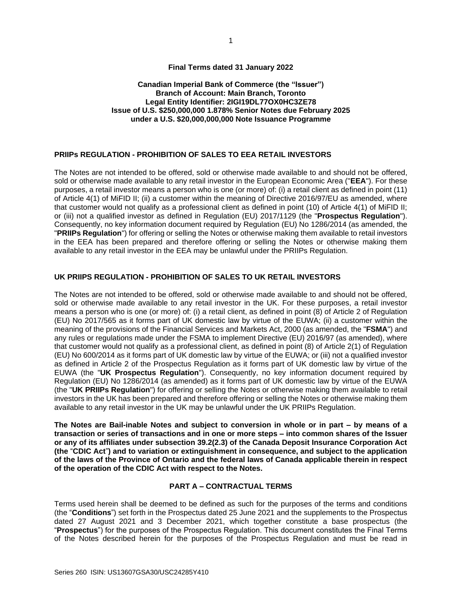# **Final Terms dated 31 January 2022**

## **Canadian Imperial Bank of Commerce (the "Issuer") Branch of Account: Main Branch, Toronto Legal Entity Identifier: 2IGI19DL77OX0HC3ZE78 Issue of U.S. \$250,000,000 1.878% Senior Notes due February 2025 under a U.S. \$20,000,000,000 Note Issuance Programme**

#### **PRIIPs REGULATION - PROHIBITION OF SALES TO EEA RETAIL INVESTORS**

The Notes are not intended to be offered, sold or otherwise made available to and should not be offered, sold or otherwise made available to any retail investor in the European Economic Area ("**EEA**"). For these purposes, a retail investor means a person who is one (or more) of: (i) a retail client as defined in point (11) of Article 4(1) of MiFID II; (ii) a customer within the meaning of Directive 2016/97/EU as amended, where that customer would not qualify as a professional client as defined in point (10) of Article 4(1) of MiFID II; or (iii) not a qualified investor as defined in Regulation (EU) 2017/1129 (the "**Prospectus Regulation**"). Consequently, no key information document required by Regulation (EU) No 1286/2014 (as amended, the "**PRIIPs Regulation**") for offering or selling the Notes or otherwise making them available to retail investors in the EEA has been prepared and therefore offering or selling the Notes or otherwise making them available to any retail investor in the EEA may be unlawful under the PRIIPs Regulation.

#### **UK PRIIPS REGULATION - PROHIBITION OF SALES TO UK RETAIL INVESTORS**

The Notes are not intended to be offered, sold or otherwise made available to and should not be offered, sold or otherwise made available to any retail investor in the UK. For these purposes, a retail investor means a person who is one (or more) of: (i) a retail client, as defined in point (8) of Article 2 of Regulation (EU) No 2017/565 as it forms part of UK domestic law by virtue of the EUWA; (ii) a customer within the meaning of the provisions of the Financial Services and Markets Act, 2000 (as amended, the "**FSMA**") and any rules or regulations made under the FSMA to implement Directive (EU) 2016/97 (as amended), where that customer would not qualify as a professional client, as defined in point (8) of Article 2(1) of Regulation (EU) No 600/2014 as it forms part of UK domestic law by virtue of the EUWA; or (iii) not a qualified investor as defined in Article 2 of the Prospectus Regulation as it forms part of UK domestic law by virtue of the EUWA (the "**UK Prospectus Regulation**"). Consequently, no key information document required by Regulation (EU) No 1286/2014 (as amended) as it forms part of UK domestic law by virtue of the EUWA (the "**UK PRIIPs Regulation**") for offering or selling the Notes or otherwise making them available to retail investors in the UK has been prepared and therefore offering or selling the Notes or otherwise making them available to any retail investor in the UK may be unlawful under the UK PRIIPs Regulation.

**The Notes are Bail-inable Notes and subject to conversion in whole or in part – by means of a transaction or series of transactions and in one or more steps – into common shares of the Issuer or any of its affiliates under subsection 39.2(2.3) of the Canada Deposit Insurance Corporation Act (the** "**CDIC Act**"**) and to variation or extinguishment in consequence, and subject to the application of the laws of the Province of Ontario and the federal laws of Canada applicable therein in respect of the operation of the CDIC Act with respect to the Notes.**

# **PART A – CONTRACTUAL TERMS**

Terms used herein shall be deemed to be defined as such for the purposes of the terms and conditions (the "**Conditions**") set forth in the Prospectus dated 25 June 2021 and the supplements to the Prospectus dated 27 August 2021 and 3 December 2021, which together constitute a base prospectus (the "**Prospectus**") for the purposes of the Prospectus Regulation. This document constitutes the Final Terms of the Notes described herein for the purposes of the Prospectus Regulation and must be read in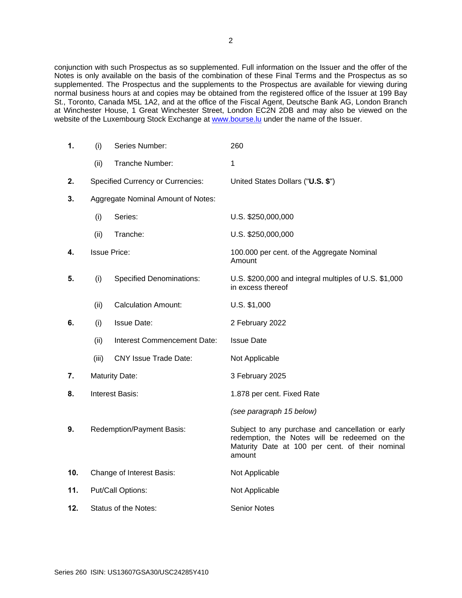conjunction with such Prospectus as so supplemented. Full information on the Issuer and the offer of the Notes is only available on the basis of the combination of these Final Terms and the Prospectus as so supplemented. The Prospectus and the supplements to the Prospectus are available for viewing during normal business hours at and copies may be obtained from the registered office of the Issuer at 199 Bay St., Toronto, Canada M5L 1A2, and at the office of the Fiscal Agent, Deutsche Bank AG, London Branch at Winchester House, 1 Great Winchester Street, London EC2N 2DB and may also be viewed on the website of the Luxembourg Stock Exchange at [www.bourse.lu](http://www.bourse.lu/) under the name of the Issuer.

| 1.  | (i)                                | Series Number:                           | 260                                                                                                                                                             |
|-----|------------------------------------|------------------------------------------|-----------------------------------------------------------------------------------------------------------------------------------------------------------------|
|     | (ii)                               | Tranche Number:                          | 1                                                                                                                                                               |
| 2.  |                                    | <b>Specified Currency or Currencies:</b> | United States Dollars ("U.S. \$")                                                                                                                               |
| 3.  | Aggregate Nominal Amount of Notes: |                                          |                                                                                                                                                                 |
|     | (i)                                | Series:                                  | U.S. \$250,000,000                                                                                                                                              |
|     | (ii)                               | Tranche:                                 | U.S. \$250,000,000                                                                                                                                              |
| 4.  |                                    | <b>Issue Price:</b>                      | 100.000 per cent. of the Aggregate Nominal<br>Amount                                                                                                            |
| 5.  | (i)                                | <b>Specified Denominations:</b>          | U.S. \$200,000 and integral multiples of U.S. \$1,000<br>in excess thereof                                                                                      |
|     | (ii)                               | <b>Calculation Amount:</b>               | U.S. \$1,000                                                                                                                                                    |
| 6.  | (i)                                | <b>Issue Date:</b>                       | 2 February 2022                                                                                                                                                 |
|     | (ii)                               | Interest Commencement Date:              | <b>Issue Date</b>                                                                                                                                               |
|     | (iii)                              | <b>CNY Issue Trade Date:</b>             | Not Applicable                                                                                                                                                  |
| 7.  |                                    | <b>Maturity Date:</b>                    | 3 February 2025                                                                                                                                                 |
| 8.  |                                    | <b>Interest Basis:</b>                   | 1.878 per cent. Fixed Rate                                                                                                                                      |
|     |                                    |                                          | (see paragraph 15 below)                                                                                                                                        |
| 9.  |                                    | Redemption/Payment Basis:                | Subject to any purchase and cancellation or early<br>redemption, the Notes will be redeemed on the<br>Maturity Date at 100 per cent. of their nominal<br>amount |
| 10. |                                    | Change of Interest Basis:                | Not Applicable                                                                                                                                                  |
| 11. | Put/Call Options:                  |                                          | Not Applicable                                                                                                                                                  |
| 12. | Status of the Notes:               |                                          | <b>Senior Notes</b>                                                                                                                                             |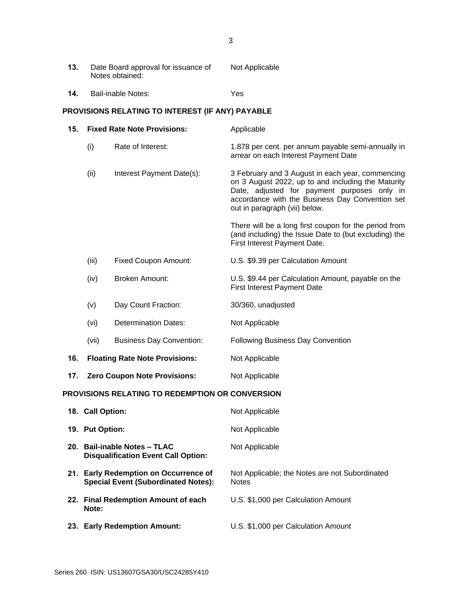| 13.                                              | Date Board approval for issuance of<br>Notes obtained: |                           | Not Applicable                                                                                                                                                                                                                            |
|--------------------------------------------------|--------------------------------------------------------|---------------------------|-------------------------------------------------------------------------------------------------------------------------------------------------------------------------------------------------------------------------------------------|
| 14.                                              | Bail-inable Notes:                                     |                           | Yes                                                                                                                                                                                                                                       |
| PROVISIONS RELATING TO INTEREST (IF ANY) PAYABLE |                                                        |                           |                                                                                                                                                                                                                                           |
| 15.                                              | <b>Fixed Rate Note Provisions:</b>                     |                           | Applicable                                                                                                                                                                                                                                |
|                                                  | (i)                                                    | Rate of Interest:         | 1.878 per cent. per annum payable semi-annually in<br>arrear on each Interest Payment Date                                                                                                                                                |
|                                                  | (ii)                                                   | Interest Payment Date(s): | 3 February and 3 August in each year, commencing<br>on 3 August 2022, up to and including the Maturity<br>Date, adjusted for payment purposes only in<br>accordance with the Business Day Convention set<br>out in paragraph (vii) below. |
|                                                  |                                                        |                           | There will be a long first coupon for the period from<br>(and including) the Issue Date to (but excluding) the<br>First Interest Payment Date.                                                                                            |

- (iii) Fixed Coupon Amount: U.S. \$9.39 per Calculation Amount
- (iv) Broken Amount: U.S. \$9.44 per Calculation Amount, payable on the First Interest Payment Date
- (v) Day Count Fraction: 30/360, unadjusted
- (vi) Determination Dates: Not Applicable
- (vii) Business Day Convention: Following Business Day Convention
- **16. Floating Rate Note Provisions:** Not Applicable
- **17. Zero Coupon Note Provisions:** Not Applicable

# **PROVISIONS RELATING TO REDEMPTION OR CONVERSION**

| 18. Call Option:                                                                    | Not Applicable                                                 |
|-------------------------------------------------------------------------------------|----------------------------------------------------------------|
| 19. Put Option:                                                                     | Not Applicable                                                 |
| 20. Bail-inable Notes - TLAC<br><b>Disqualification Event Call Option:</b>          | Not Applicable                                                 |
| 21. Early Redemption on Occurrence of<br><b>Special Event (Subordinated Notes):</b> | Not Applicable; the Notes are not Subordinated<br><b>Notes</b> |
| 22. Final Redemption Amount of each<br>Note:                                        | U.S. \$1,000 per Calculation Amount                            |
| 23. Early Redemption Amount:                                                        | U.S. \$1,000 per Calculation Amount                            |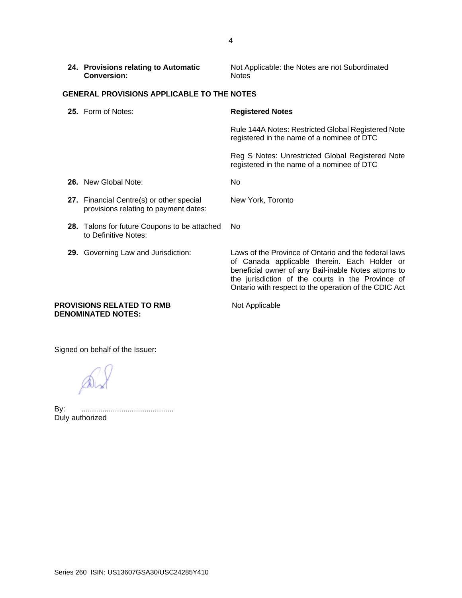| 24. Provisions relating to Automatic | Not Applicable: the Notes are not Subordinated |  |
|--------------------------------------|------------------------------------------------|--|
| <b>Conversion:</b>                   | <b>Notes</b>                                   |  |

# **GENERAL PROVISIONS APPLICABLE TO THE NOTES**

| <b>25.</b> Form of Notes:                                                         | <b>Registered Notes</b>                                                                                                                                                                                                                                                    |  |
|-----------------------------------------------------------------------------------|----------------------------------------------------------------------------------------------------------------------------------------------------------------------------------------------------------------------------------------------------------------------------|--|
|                                                                                   | Rule 144A Notes: Restricted Global Registered Note<br>registered in the name of a nominee of DTC                                                                                                                                                                           |  |
|                                                                                   | Reg S Notes: Unrestricted Global Registered Note<br>registered in the name of a nominee of DTC                                                                                                                                                                             |  |
| <b>26.</b> New Global Note:                                                       | No.                                                                                                                                                                                                                                                                        |  |
| 27. Financial Centre(s) or other special<br>provisions relating to payment dates: | New York, Toronto                                                                                                                                                                                                                                                          |  |
| 28. Talons for future Coupons to be attached<br>to Definitive Notes:              | No.                                                                                                                                                                                                                                                                        |  |
| <b>29.</b> Governing Law and Jurisdiction:                                        | Laws of the Province of Ontario and the federal laws<br>of Canada applicable therein. Each Holder or<br>beneficial owner of any Bail-inable Notes attorns to<br>the jurisdiction of the courts in the Province of<br>Ontario with respect to the operation of the CDIC Act |  |

#### **PROVISIONS RELATED TO RMB** Not Applicable **DENOMINATED NOTES:**

Signed on behalf of the Issuer:

AV

By: ............................................ By: ..............<br>Duly authorized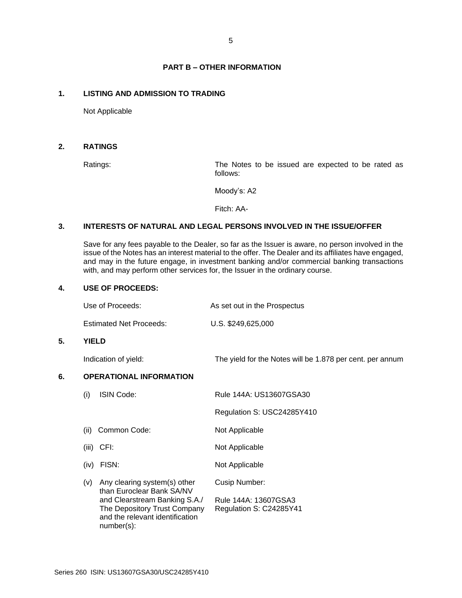# **PART B – OTHER INFORMATION**

#### **1. LISTING AND ADMISSION TO TRADING**

Not Applicable

## **2. RATINGS**

Ratings: The Notes to be issued are expected to be rated as follows:

Moody's: A2

Fitch: AA-

## **3. INTERESTS OF NATURAL AND LEGAL PERSONS INVOLVED IN THE ISSUE/OFFER**

Save for any fees payable to the Dealer, so far as the Issuer is aware, no person involved in the issue of the Notes has an interest material to the offer. The Dealer and its affiliates have engaged, and may in the future engage, in investment banking and/or commercial banking transactions with, and may perform other services for, the Issuer in the ordinary course.

# **4. USE OF PROCEEDS:**

| Use of Proceeds: | As set out in the Prospectus |
|------------------|------------------------------|
|------------------|------------------------------|

Estimated Net Proceeds: U.S. \$249,625,000

#### **5. YIELD**

Indication of yield: The yield for the Notes will be 1.878 per cent. per annum

## **6. OPERATIONAL INFORMATION**

| (i)   | <b>ISIN Code:</b>                                                                                              | Rule 144A: US13607GSA30                         |
|-------|----------------------------------------------------------------------------------------------------------------|-------------------------------------------------|
|       |                                                                                                                | Regulation S: USC24285Y410                      |
| (ii)  | Common Code:                                                                                                   | Not Applicable                                  |
| (iii) | CFI:                                                                                                           | Not Applicable                                  |
| (iv)  | FISN:                                                                                                          | Not Applicable                                  |
| (v)   | Any clearing system(s) other<br>than Euroclear Bank SA/NV                                                      | Cusip Number:                                   |
|       | and Clearstream Banking S.A./<br>The Depository Trust Company<br>and the relevant identification<br>number(s): | Rule 144A: 13607GSA3<br>Regulation S: C24285Y41 |